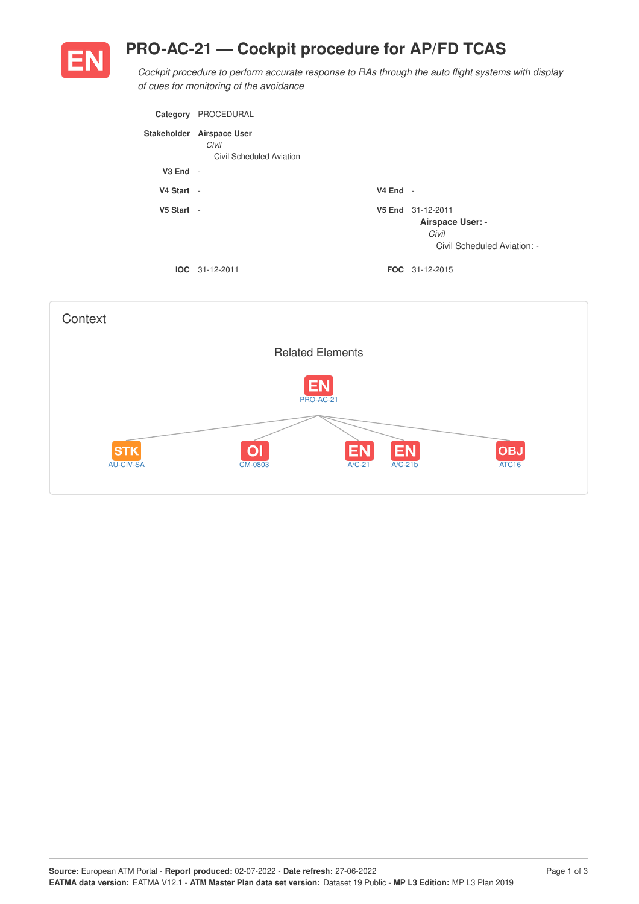## **PRO-AC-21 — Cockpit procedure for AP/FD TCAS**



*Cockpit procedure to perform accurate response to RAs through the auto flight systems with display of cues for monitoring of the avoidance*

| Category     | PROCEDURAL                                                |            |                                                                               |
|--------------|-----------------------------------------------------------|------------|-------------------------------------------------------------------------------|
| Stakeholder  | <b>Airspace User</b><br>Civil<br>Civil Scheduled Aviation |            |                                                                               |
| $V3$ End $-$ |                                                           |            |                                                                               |
| V4 Start -   |                                                           | $V4$ End - |                                                                               |
| V5 Start -   |                                                           |            | V5 End 31-12-2011<br>Airspace User: -<br>Civil<br>Civil Scheduled Aviation: - |
|              | $IOC 31-12-2011$                                          |            | <b>FOC</b> 31-12-2015                                                         |